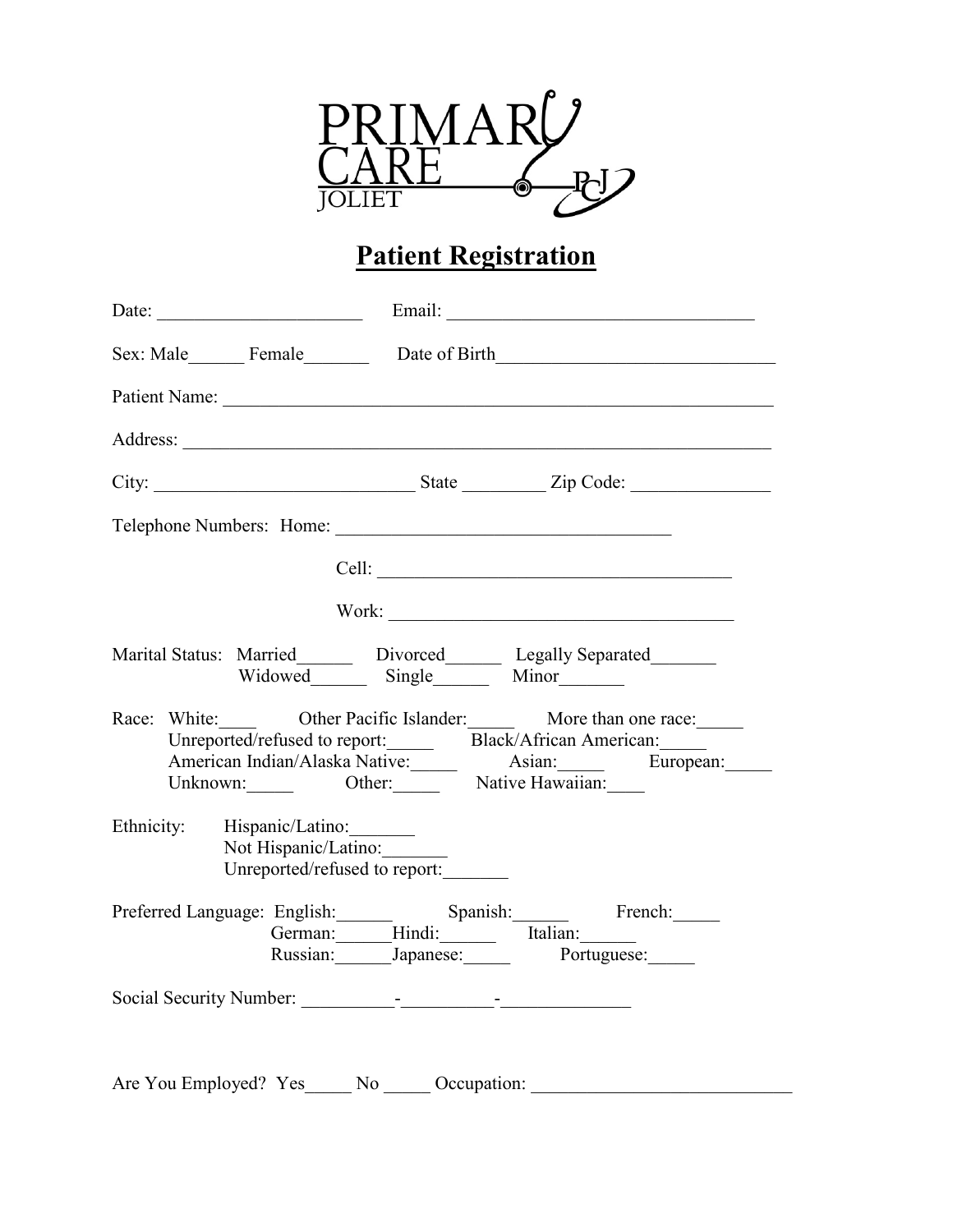

# **Patient Registration**

|                                                     |                               | Sex: Male Female Date of Birth                                                                                                                                                                           |
|-----------------------------------------------------|-------------------------------|----------------------------------------------------------------------------------------------------------------------------------------------------------------------------------------------------------|
|                                                     |                               |                                                                                                                                                                                                          |
|                                                     |                               |                                                                                                                                                                                                          |
|                                                     |                               |                                                                                                                                                                                                          |
|                                                     |                               | Telephone Numbers: Home:                                                                                                                                                                                 |
|                                                     |                               |                                                                                                                                                                                                          |
|                                                     |                               |                                                                                                                                                                                                          |
|                                                     | Widowed Single Minor          | Marital Status: Married_______ Divorced_______ Legally Separated_______                                                                                                                                  |
|                                                     |                               | Race: White: Other Pacific Islander: More than one race:<br>Unreported/refused to report: Black/African American:<br>American Indian/Alaska Native: Asian: European:<br>Unknown: Other: Native Hawaiian: |
| Ethnicity: Hispanic/Latino:<br>Not Hispanic/Latino: | Unreported/refused to report: |                                                                                                                                                                                                          |
|                                                     |                               | Preferred Language: English: Spanish: French:<br>German: Hindi: Italian:<br>Russian: Japanese: Portuguese:                                                                                               |
|                                                     |                               |                                                                                                                                                                                                          |
|                                                     |                               |                                                                                                                                                                                                          |
|                                                     |                               | Are You Employed? Yes_____ No _____ Occupation: ________________________________                                                                                                                         |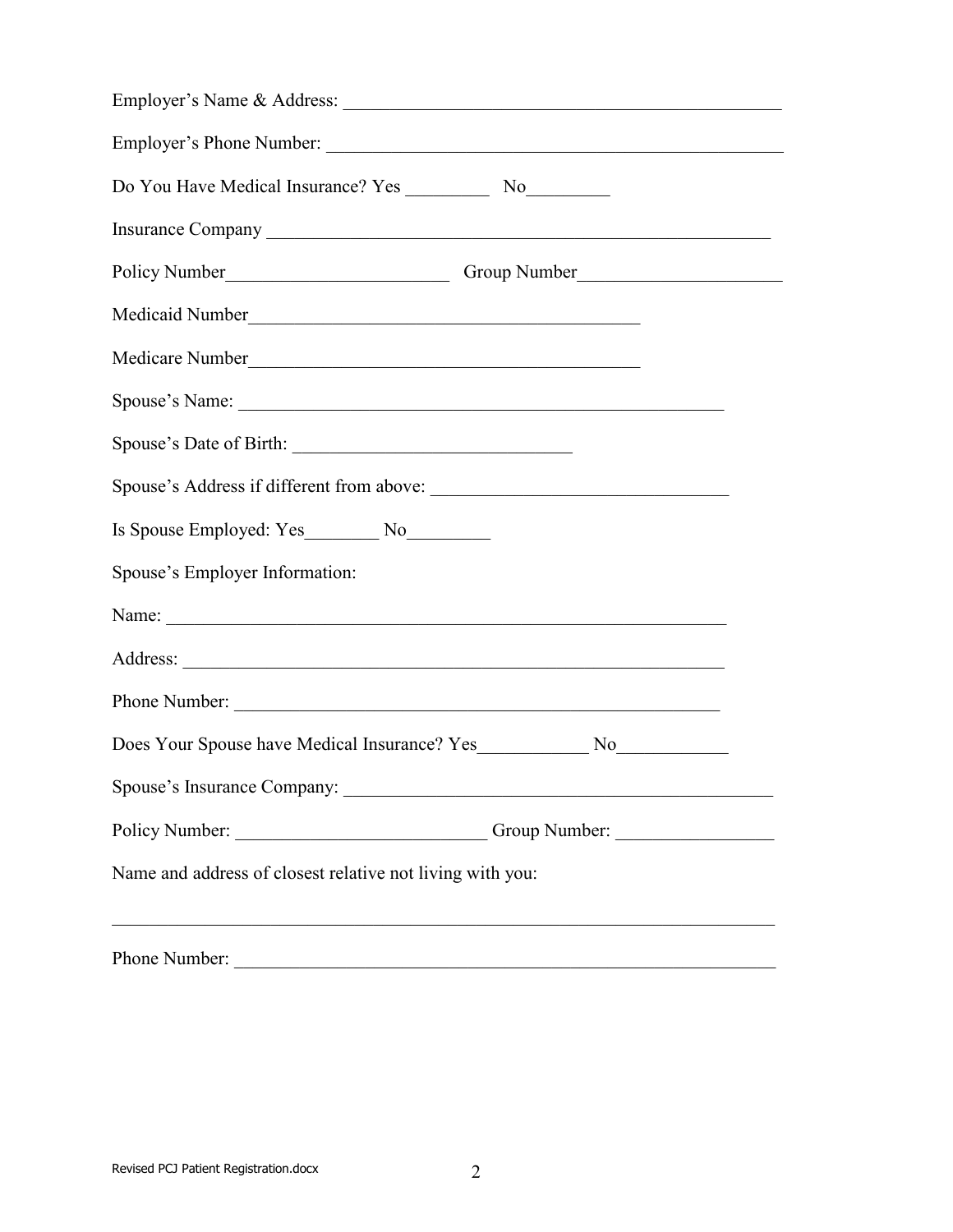| Medicaid Number                                           |
|-----------------------------------------------------------|
| Medicare Number                                           |
| Spouse's Name:                                            |
|                                                           |
|                                                           |
| Is Spouse Employed: Yes No                                |
| Spouse's Employer Information:                            |
|                                                           |
|                                                           |
| Phone Number:                                             |
|                                                           |
|                                                           |
| Policy Number: Comp Number: Comp Number:                  |
| Name and address of closest relative not living with you: |
| Phone Number:                                             |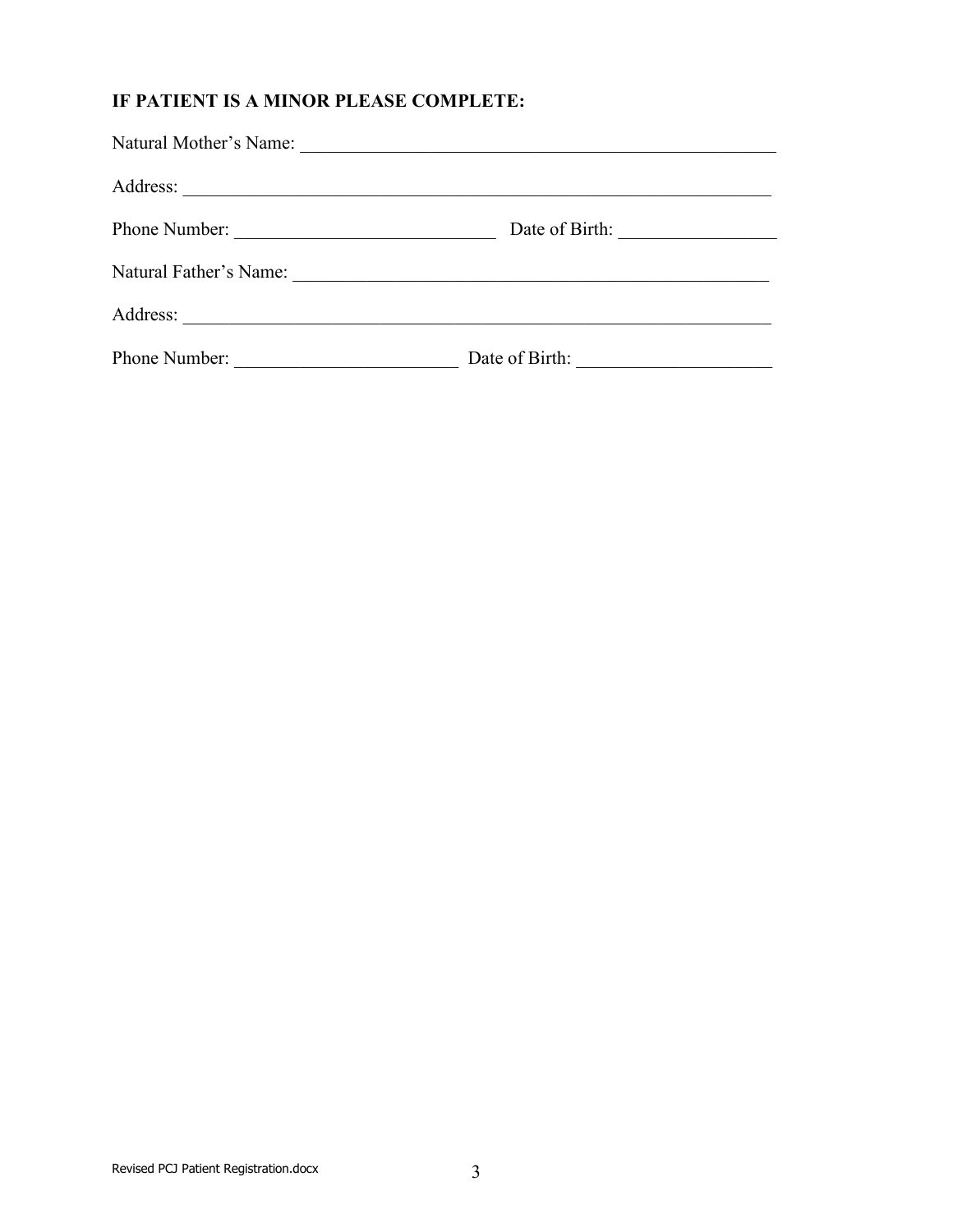### **IF PATIENT IS A MINOR PLEASE COMPLETE:**

| Natural Mother's Name:                                                                                                                | the control of the control of the control of the control of the control of the control of the control of the control of the control of the control of the control of the control of the control of the control of the control |  |
|---------------------------------------------------------------------------------------------------------------------------------------|-------------------------------------------------------------------------------------------------------------------------------------------------------------------------------------------------------------------------------|--|
| Address:<br><u> 1989 - Johann John Stone, market francuski filozof (</u>                                                              |                                                                                                                                                                                                                               |  |
| Phone Number:<br><u> 1989 - Johann Barn, mars ar breithinn ar breithinn ar breithinn ar breithinn ar breithinn ar breithinn ar br</u> | Date of Birth:                                                                                                                                                                                                                |  |
| Natural Father's Name:                                                                                                                |                                                                                                                                                                                                                               |  |
| Address:<br><u> 1989 - Johann Stoff, deutscher Stoff, deutscher Stoff, der Stoff, der Stoff, der Stoff, der Stoff, der Stoff, </u>    |                                                                                                                                                                                                                               |  |
| Phone Number:<br><u> 1990 - Johann Barbara, martin a</u>                                                                              | Date of Birth:                                                                                                                                                                                                                |  |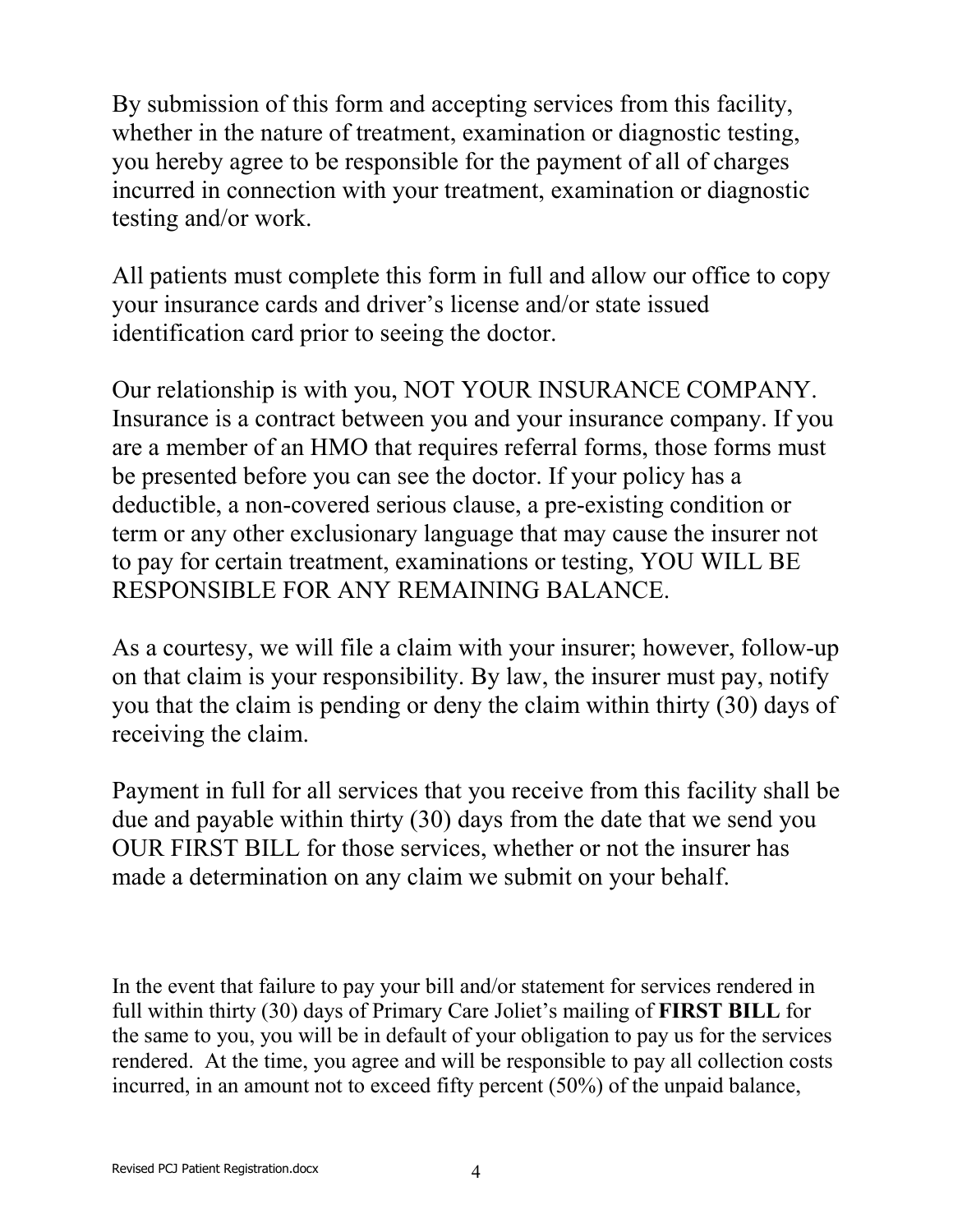By submission of this form and accepting services from this facility, whether in the nature of treatment, examination or diagnostic testing, you hereby agree to be responsible for the payment of all of charges incurred in connection with your treatment, examination or diagnostic testing and/or work.

All patients must complete this form in full and allow our office to copy your insurance cards and driver's license and/or state issued identification card prior to seeing the doctor.

Our relationship is with you, NOT YOUR INSURANCE COMPANY. Insurance is a contract between you and your insurance company. If you are a member of an HMO that requires referral forms, those forms must be presented before you can see the doctor. If your policy has a deductible, a non-covered serious clause, a pre-existing condition or term or any other exclusionary language that may cause the insurer not to pay for certain treatment, examinations or testing, YOU WILL BE RESPONSIBLE FOR ANY REMAINING BALANCE.

As a courtesy, we will file a claim with your insurer; however, follow-up on that claim is your responsibility. By law, the insurer must pay, notify you that the claim is pending or deny the claim within thirty (30) days of receiving the claim.

Payment in full for all services that you receive from this facility shall be due and payable within thirty (30) days from the date that we send you OUR FIRST BILL for those services, whether or not the insurer has made a determination on any claim we submit on your behalf.

In the event that failure to pay your bill and/or statement for services rendered in full within thirty (30) days of Primary Care Joliet's mailing of **FIRST BILL** for the same to you, you will be in default of your obligation to pay us for the services rendered. At the time, you agree and will be responsible to pay all collection costs incurred, in an amount not to exceed fifty percent (50%) of the unpaid balance,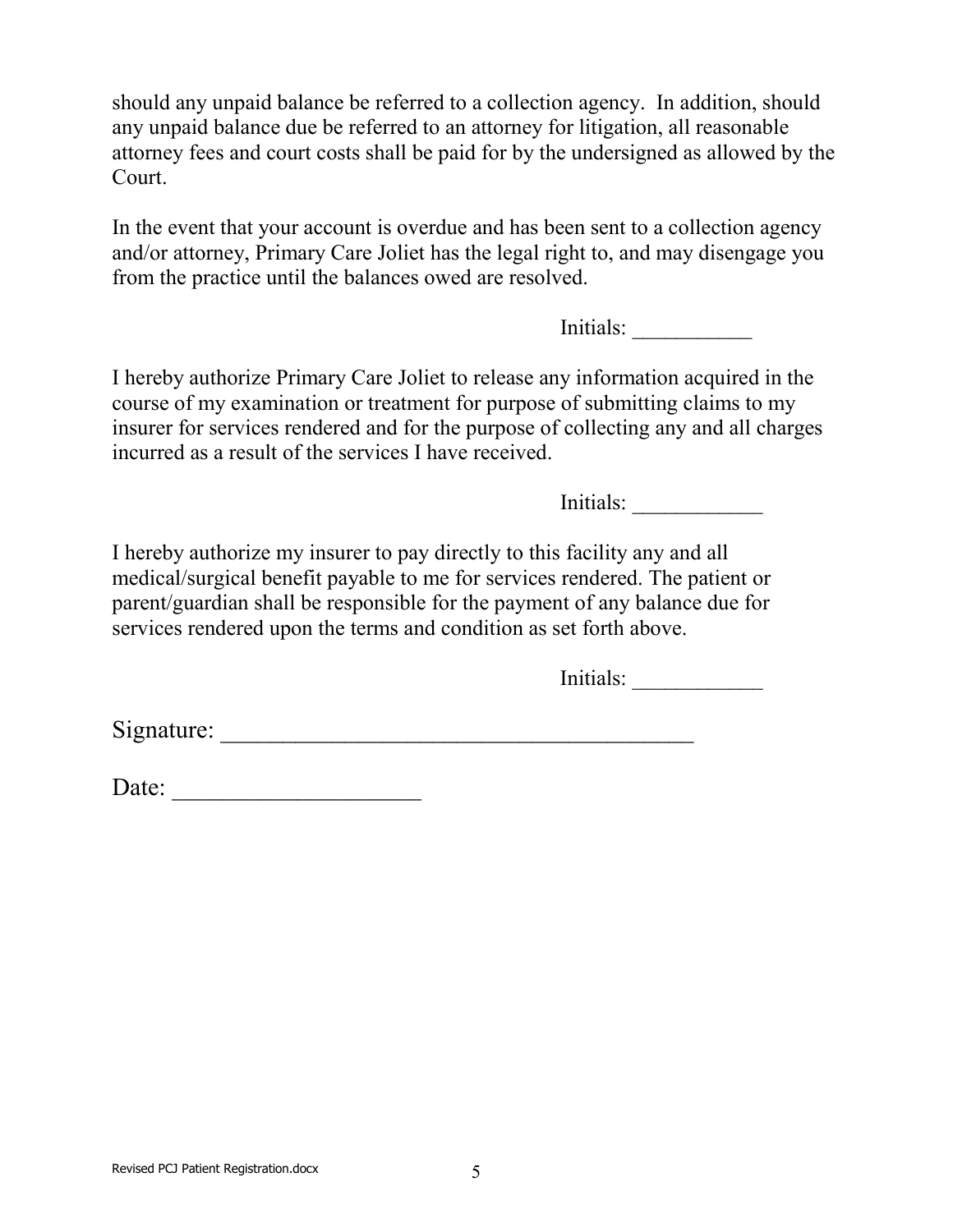should any unpaid balance be referred to a collection agency. In addition, should any unpaid balance due be referred to an attorney for litigation, all reasonable attorney fees and court costs shall be paid for by the undersigned as allowed by the Court.

In the event that your account is overdue and has been sent to a collection agency and/or attorney, Primary Care Joliet has the legal right to, and may disengage you from the practice until the balances owed are resolved.

Initials:

I hereby authorize Primary Care Joliet to release any information acquired in the course of my examination or treatment for purpose of submitting claims to my insurer for services rendered and for the purpose of collecting any and all charges incurred as a result of the services I have received.

Initials:

I hereby authorize my insurer to pay directly to this facility any and all medical/surgical benefit payable to me for services rendered. The patient or parent/guardian shall be responsible for the payment of any balance due for services rendered upon the terms and condition as set forth above.

Initials:

 $Signature:$ 

Date: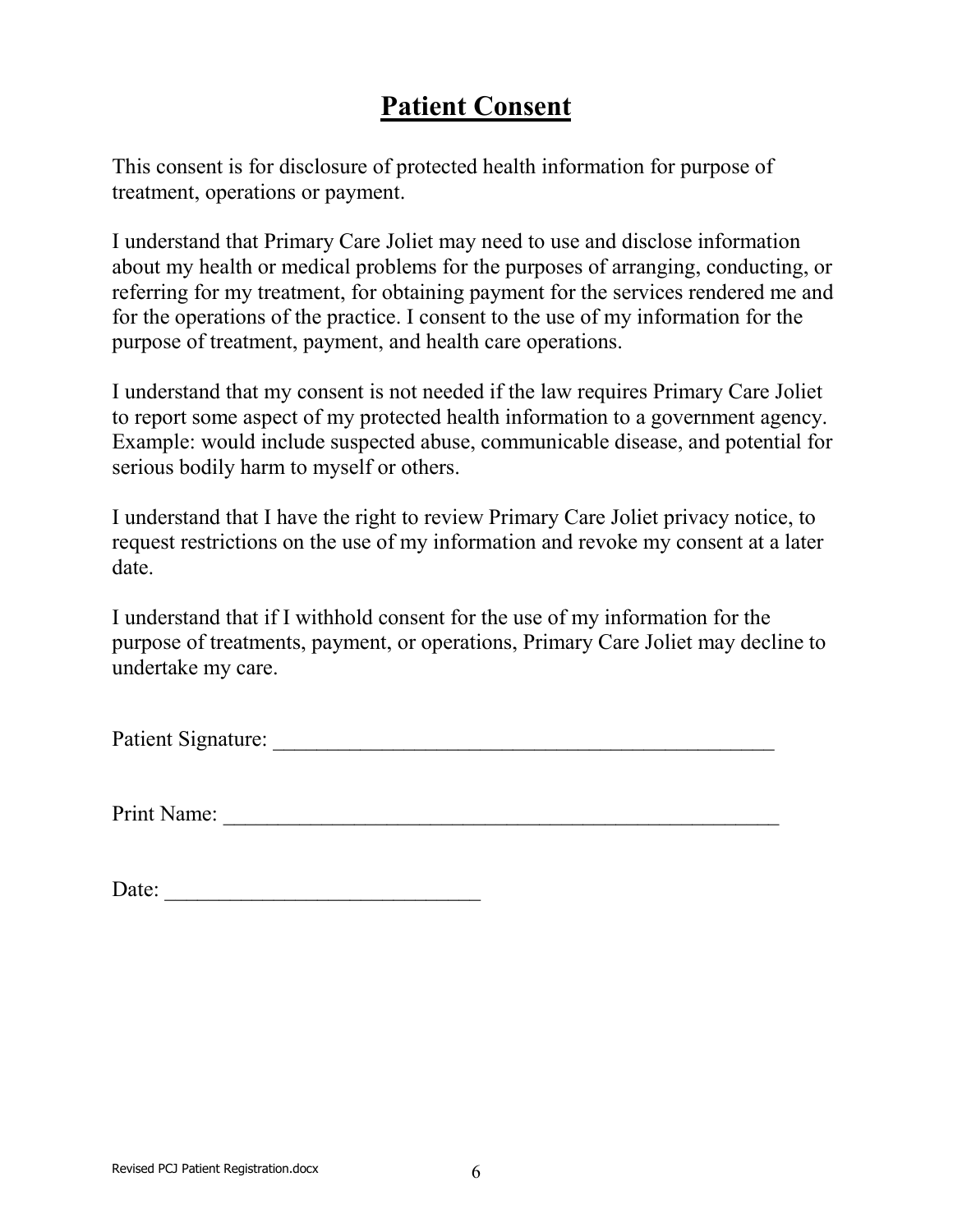# **Patient Consent**

This consent is for disclosure of protected health information for purpose of treatment, operations or payment.

I understand that Primary Care Joliet may need to use and disclose information about my health or medical problems for the purposes of arranging, conducting, or referring for my treatment, for obtaining payment for the services rendered me and for the operations of the practice. I consent to the use of my information for the purpose of treatment, payment, and health care operations.

I understand that my consent is not needed if the law requires Primary Care Joliet to report some aspect of my protected health information to a government agency. Example: would include suspected abuse, communicable disease, and potential for serious bodily harm to myself or others.

I understand that I have the right to review Primary Care Joliet privacy notice, to request restrictions on the use of my information and revoke my consent at a later date.

I understand that if I withhold consent for the use of my information for the purpose of treatments, payment, or operations, Primary Care Joliet may decline to undertake my care.

Patient Signature: \_\_\_\_\_\_\_\_\_\_\_\_\_\_\_\_\_\_\_\_\_\_\_\_\_\_\_\_\_\_\_\_\_\_\_\_\_\_\_\_\_\_\_\_\_\_

Print Name: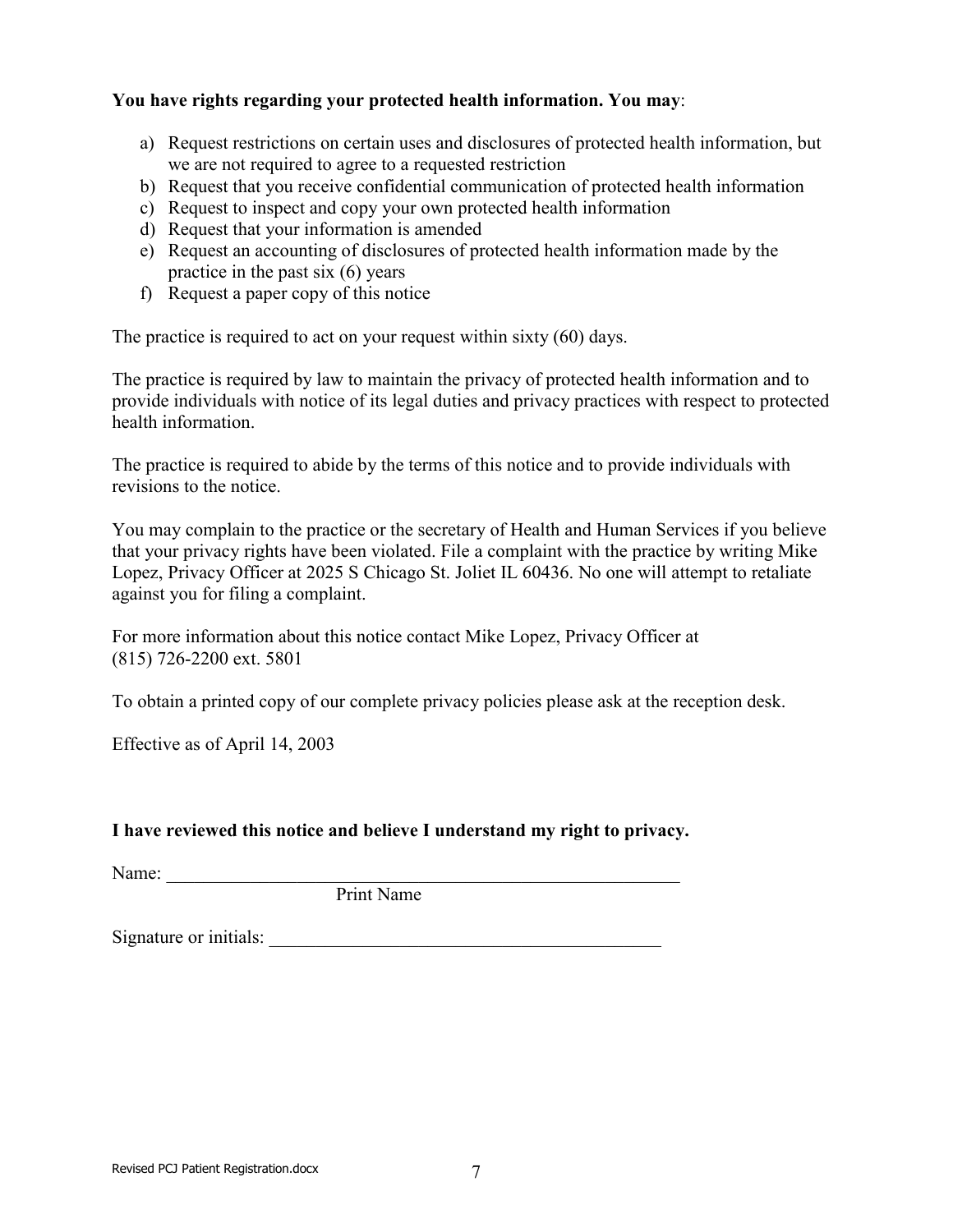### **You have rights regarding your protected health information. You may**:

- a) Request restrictions on certain uses and disclosures of protected health information, but we are not required to agree to a requested restriction
- b) Request that you receive confidential communication of protected health information
- c) Request to inspect and copy your own protected health information
- d) Request that your information is amended
- e) Request an accounting of disclosures of protected health information made by the practice in the past six (6) years
- f) Request a paper copy of this notice

The practice is required to act on your request within sixty (60) days.

The practice is required by law to maintain the privacy of protected health information and to provide individuals with notice of its legal duties and privacy practices with respect to protected health information.

The practice is required to abide by the terms of this notice and to provide individuals with revisions to the notice.

You may complain to the practice or the secretary of Health and Human Services if you believe that your privacy rights have been violated. File a complaint with the practice by writing Mike Lopez, Privacy Officer at 2025 S Chicago St. Joliet IL 60436. No one will attempt to retaliate against you for filing a complaint.

For more information about this notice contact Mike Lopez, Privacy Officer at (815) 726-2200 ext. 5801

To obtain a printed copy of our complete privacy policies please ask at the reception desk.

Effective as of April 14, 2003

### **I have reviewed this notice and believe I understand my right to privacy.**

 $Name:$ 

Print Name

Signature or initials: \_\_\_\_\_\_\_\_\_\_\_\_\_\_\_\_\_\_\_\_\_\_\_\_\_\_\_\_\_\_\_\_\_\_\_\_\_\_\_\_\_\_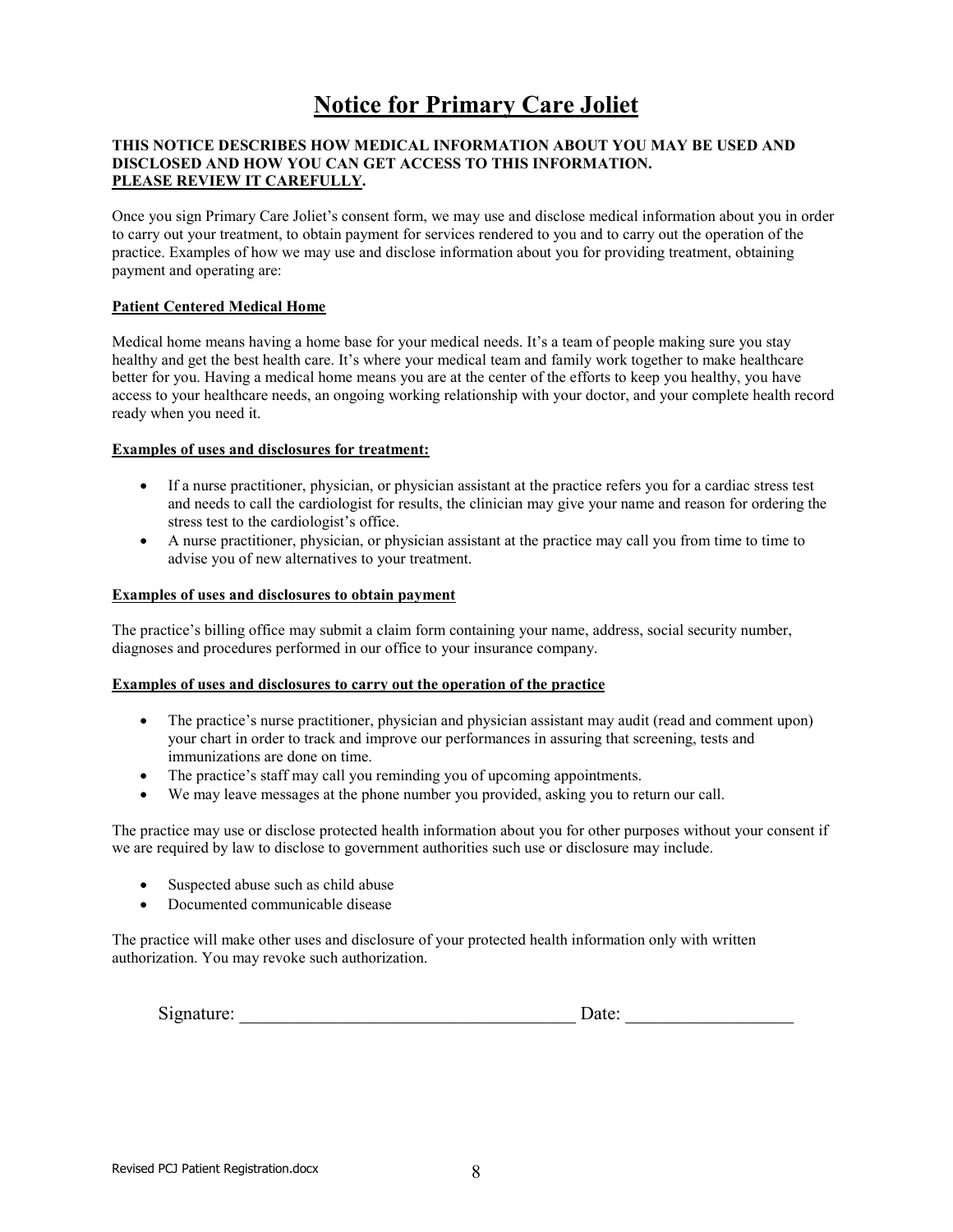### **Notice for Primary Care Joliet**

#### **THIS NOTICE DESCRIBES HOW MEDICAL INFORMATION ABOUT YOU MAY BE USED AND DISCLOSED AND HOW YOU CAN GET ACCESS TO THIS INFORMATION. PLEASE REVIEW IT CAREFULLY.**

Once you sign Primary Care Joliet's consent form, we may use and disclose medical information about you in order to carry out your treatment, to obtain payment for services rendered to you and to carry out the operation of the practice. Examples of how we may use and disclose information about you for providing treatment, obtaining payment and operating are:

#### **Patient Centered Medical Home**

Medical home means having a home base for your medical needs. It's a team of people making sure you stay healthy and get the best health care. It's where your medical team and family work together to make healthcare better for you. Having a medical home means you are at the center of the efforts to keep you healthy, you have access to your healthcare needs, an ongoing working relationship with your doctor, and your complete health record ready when you need it.

#### **Examples of uses and disclosures for treatment:**

- If a nurse practitioner, physician, or physician assistant at the practice refers you for a cardiac stress test and needs to call the cardiologist for results, the clinician may give your name and reason for ordering the stress test to the cardiologist's office.
- A nurse practitioner, physician, or physician assistant at the practice may call you from time to time to advise you of new alternatives to your treatment.

#### **Examples of uses and disclosures to obtain payment**

The practice's billing office may submit a claim form containing your name, address, social security number, diagnoses and procedures performed in our office to your insurance company.

#### **Examples of uses and disclosures to carry out the operation of the practice**

- The practice's nurse practitioner, physician and physician assistant may audit (read and comment upon) your chart in order to track and improve our performances in assuring that screening, tests and immunizations are done on time.
- The practice's staff may call you reminding you of upcoming appointments.
- We may leave messages at the phone number you provided, asking you to return our call.

The practice may use or disclose protected health information about you for other purposes without your consent if we are required by law to disclose to government authorities such use or disclosure may include.

- Suspected abuse such as child abuse
- Documented communicable disease

The practice will make other uses and disclosure of your protected health information only with written authorization. You may revoke such authorization.

| ------ | $\sim$<br>S19 | uw. |
|--------|---------------|-----|
|--------|---------------|-----|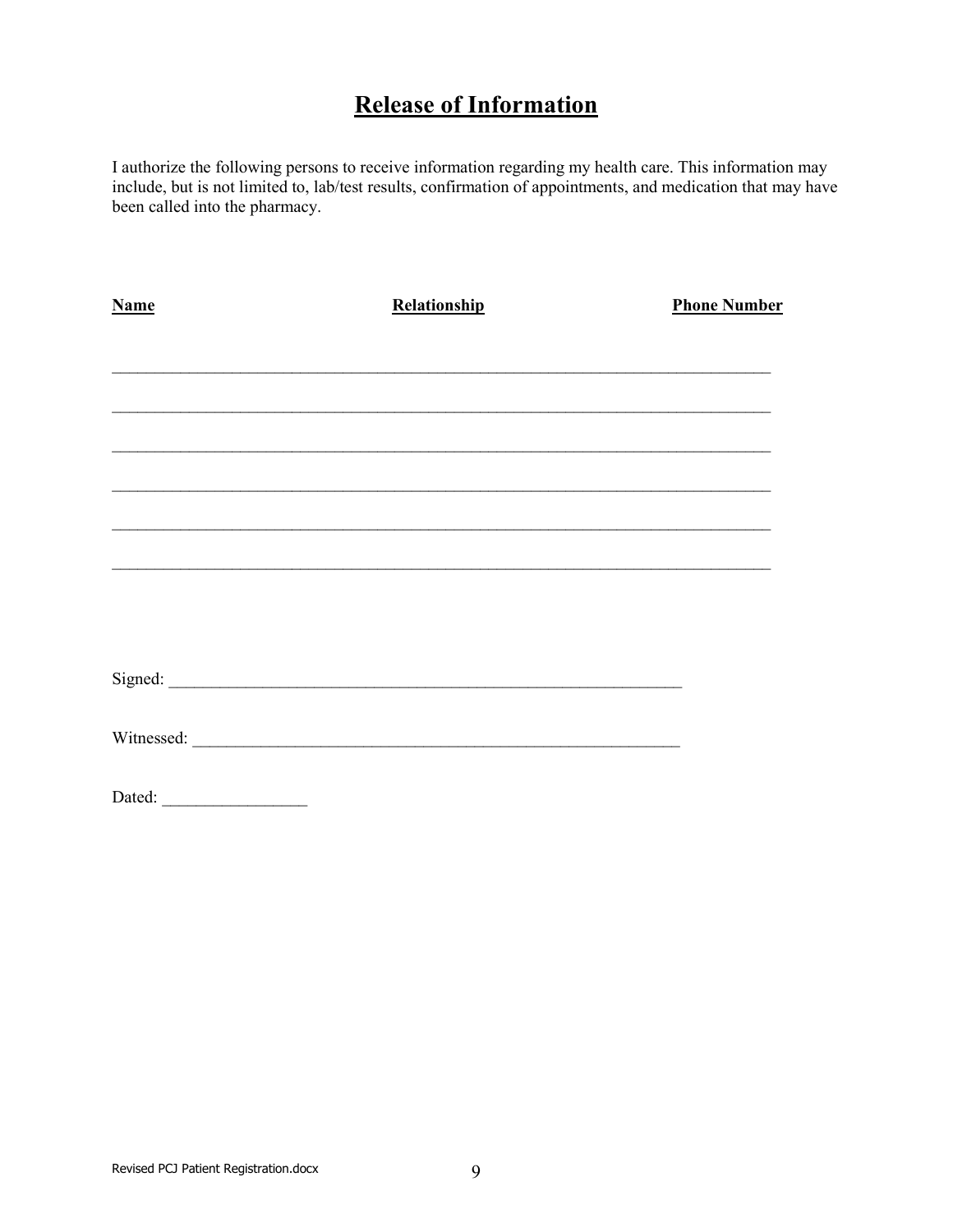## **Release of Information**

I authorize the following persons to receive information regarding my health care. This information may include, but is not limited to, lab/test results, confirmation of appointments, and medication that may have been called into the pharmacy.

| Name   | Relationship | <b>Phone Number</b> |
|--------|--------------|---------------------|
|        |              |                     |
|        |              |                     |
|        |              |                     |
|        |              |                     |
|        |              |                     |
|        |              |                     |
|        |              |                     |
|        |              |                     |
|        |              |                     |
|        |              |                     |
| Dated: |              |                     |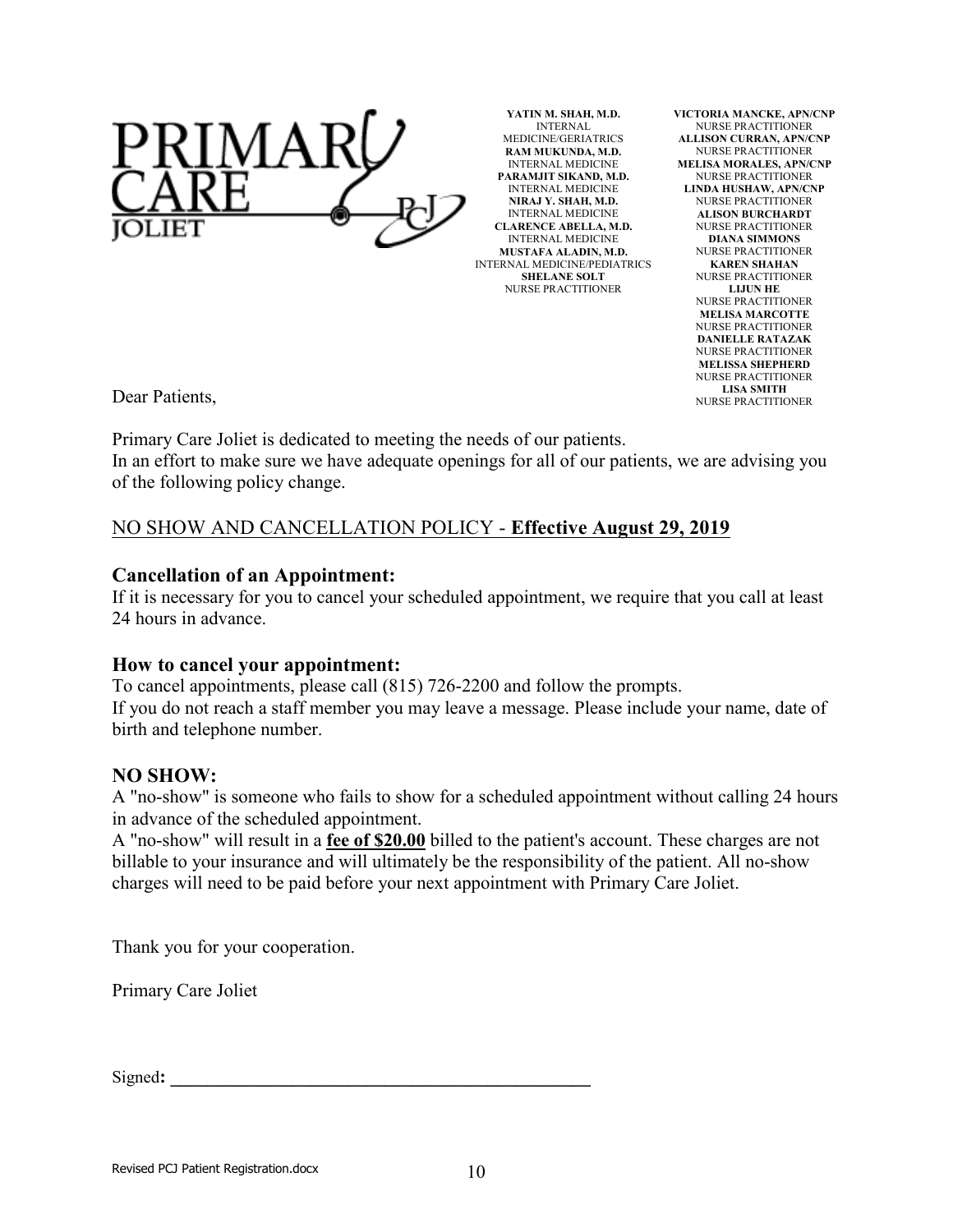

**YATIN M. SHAH, M.D.** INTERNAL MEDICINE/GERIATRICS **RAM MUKUNDA, M.D.** INTERNAL MEDICINE **PARAMJIT SIKAND, M.D.** INTERNAL MEDICINE **NIRAJ Y. SHAH, M.D.** INTERNAL MEDICINE **CLARENCE ABELLA, M.D.** INTERNAL MEDICINE **MUSTAFA ALADIN, M.D.** INTERNAL MEDICINE/PEDIATRICS **SHELANE SOLT** NURSE PRACTITIONER

**VICTORIA MANCKE, APN/CNP** NURSE PRACTITIONER **ALLISON CURRAN, APN/CNP** NURSE PRACTITIONER **MELISA MORALES, APN/CNP** NURSE PRACTITIONER **LINDA HUSHAW, APN/CNP** NURSE PRACTITIONER **ALISON BURCHARDT** NURSE PRACTITIONER **DIANA SIMMONS** NURSE PRACTITIONER **KAREN SHAHAN** NURSE PRACTITIONER **LIJUN HE** NURSE PRACTITIONER **MELISA MARCOTTE** NURSE PRACTITIONER **DANIELLE RATAZAK** NURSE PRACTITIONER **MELISSA SHEPHERD** NURSE PRACTITIONER **LISA SMITH** NURSE PRACTITIONER

Dear Patients,

Primary Care Joliet is dedicated to meeting the needs of our patients. In an effort to make sure we have adequate openings for all of our patients, we are advising you of the following policy change.

### NO SHOW AND CANCELLATION POLICY - **Effective August 29, 2019**

#### **Cancellation of an Appointment:**

If it is necessary for you to cancel your scheduled appointment, we require that you call at least 24 hours in advance.

#### **How to cancel your appointment:**

To cancel appointments, please call (815) 726-2200 and follow the prompts. If you do not reach a staff member you may leave a message. Please include your name, date of birth and telephone number.

### **NO SHOW:**

A "no-show" is someone who fails to show for a scheduled appointment without calling 24 hours in advance of the scheduled appointment.

A "no-show" will result in a **fee of \$20.00** billed to the patient's account. These charges are not billable to your insurance and will ultimately be the responsibility of the patient. All no-show charges will need to be paid before your next appointment with Primary Care Joliet.

Thank you for your cooperation.

Primary Care Joliet

Signed: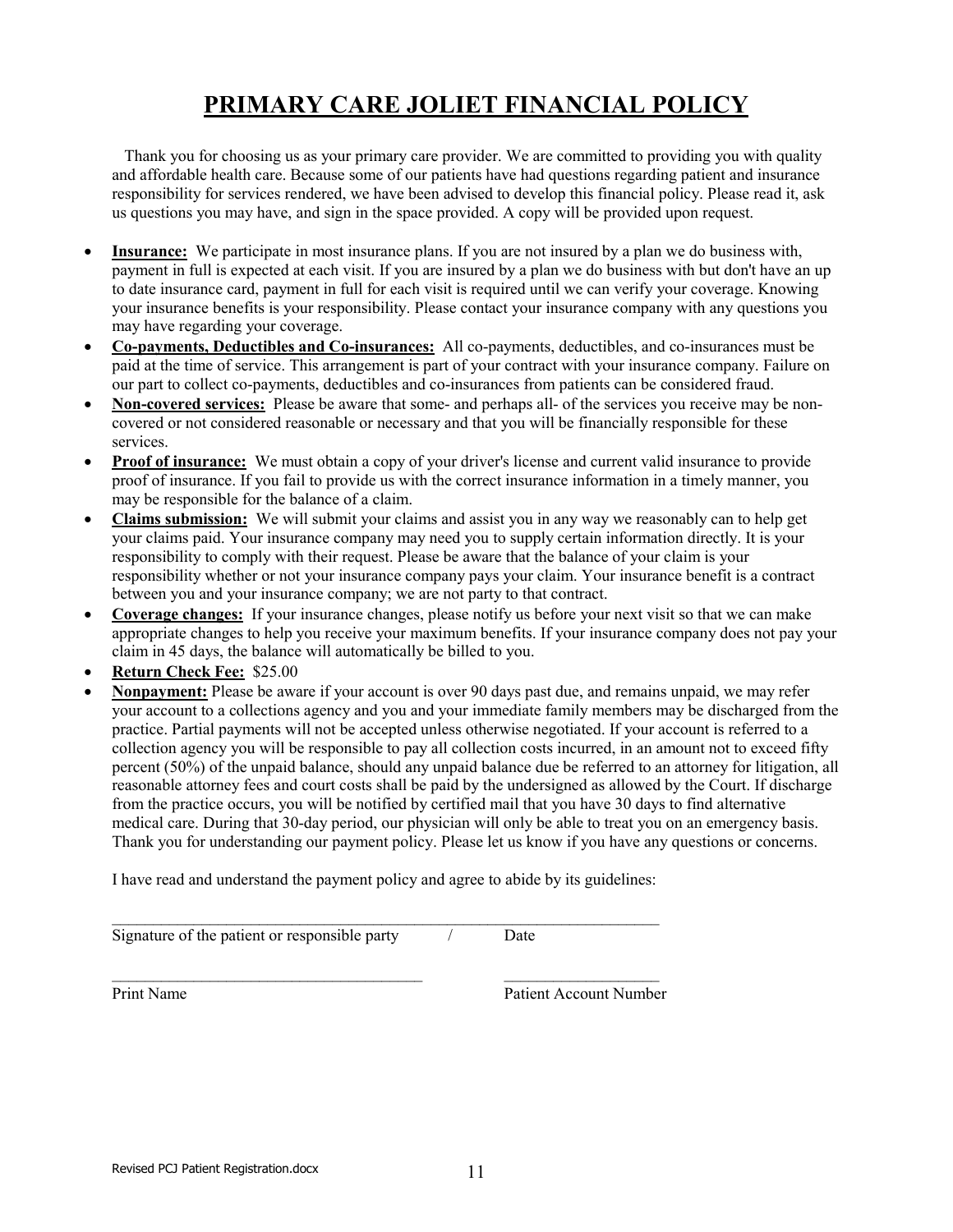# **PRIMARY CARE JOLIET FINANCIAL POLICY**

 Thank you for choosing us as your primary care provider. We are committed to providing you with quality and affordable health care. Because some of our patients have had questions regarding patient and insurance responsibility for services rendered, we have been advised to develop this financial policy. Please read it, ask us questions you may have, and sign in the space provided. A copy will be provided upon request.

- **Insurance:** We participate in most insurance plans. If you are not insured by a plan we do business with, payment in full is expected at each visit. If you are insured by a plan we do business with but don't have an up to date insurance card, payment in full for each visit is required until we can verify your coverage. Knowing your insurance benefits is your responsibility. Please contact your insurance company with any questions you may have regarding your coverage.
- **Co-payments, Deductibles and Co-insurances:** All co-payments, deductibles, and co-insurances must be paid at the time of service. This arrangement is part of your contract with your insurance company. Failure on our part to collect co-payments, deductibles and co-insurances from patients can be considered fraud.
- **Non-covered services:** Please be aware that some- and perhaps all- of the services you receive may be noncovered or not considered reasonable or necessary and that you will be financially responsible for these services.
- **Proof of insurance:** We must obtain a copy of your driver's license and current valid insurance to provide proof of insurance. If you fail to provide us with the correct insurance information in a timely manner, you may be responsible for the balance of a claim.
- **Claims submission:** We will submit your claims and assist you in any way we reasonably can to help get your claims paid. Your insurance company may need you to supply certain information directly. It is your responsibility to comply with their request. Please be aware that the balance of your claim is your responsibility whether or not your insurance company pays your claim. Your insurance benefit is a contract between you and your insurance company; we are not party to that contract.
- **Coverage changes:** If your insurance changes, please notify us before your next visit so that we can make appropriate changes to help you receive your maximum benefits. If your insurance company does not pay your claim in 45 days, the balance will automatically be billed to you.
- **Return Check Fee:** \$25.00
- **Nonpayment:** Please be aware if your account is over 90 days past due, and remains unpaid, we may refer your account to a collections agency and you and your immediate family members may be discharged from the practice. Partial payments will not be accepted unless otherwise negotiated. If your account is referred to a collection agency you will be responsible to pay all collection costs incurred, in an amount not to exceed fifty percent (50%) of the unpaid balance, should any unpaid balance due be referred to an attorney for litigation, all reasonable attorney fees and court costs shall be paid by the undersigned as allowed by the Court. If discharge from the practice occurs, you will be notified by certified mail that you have 30 days to find alternative medical care. During that 30-day period, our physician will only be able to treat you on an emergency basis. Thank you for understanding our payment policy. Please let us know if you have any questions or concerns.

I have read and understand the payment policy and agree to abide by its guidelines:

\_\_\_\_\_\_\_\_\_\_\_\_\_\_\_\_\_\_\_\_\_\_\_\_\_\_\_\_\_\_\_\_\_\_\_\_\_\_ \_\_\_\_\_\_\_\_\_\_\_\_\_\_\_\_\_\_\_

Signature of the patient or responsible party  $\overline{\phantom{a}}$  / Date

 $\mathcal{L}_\text{max}$  , and the contract of the contract of the contract of the contract of the contract of the contract of

Print Name<br>
Patient Account Number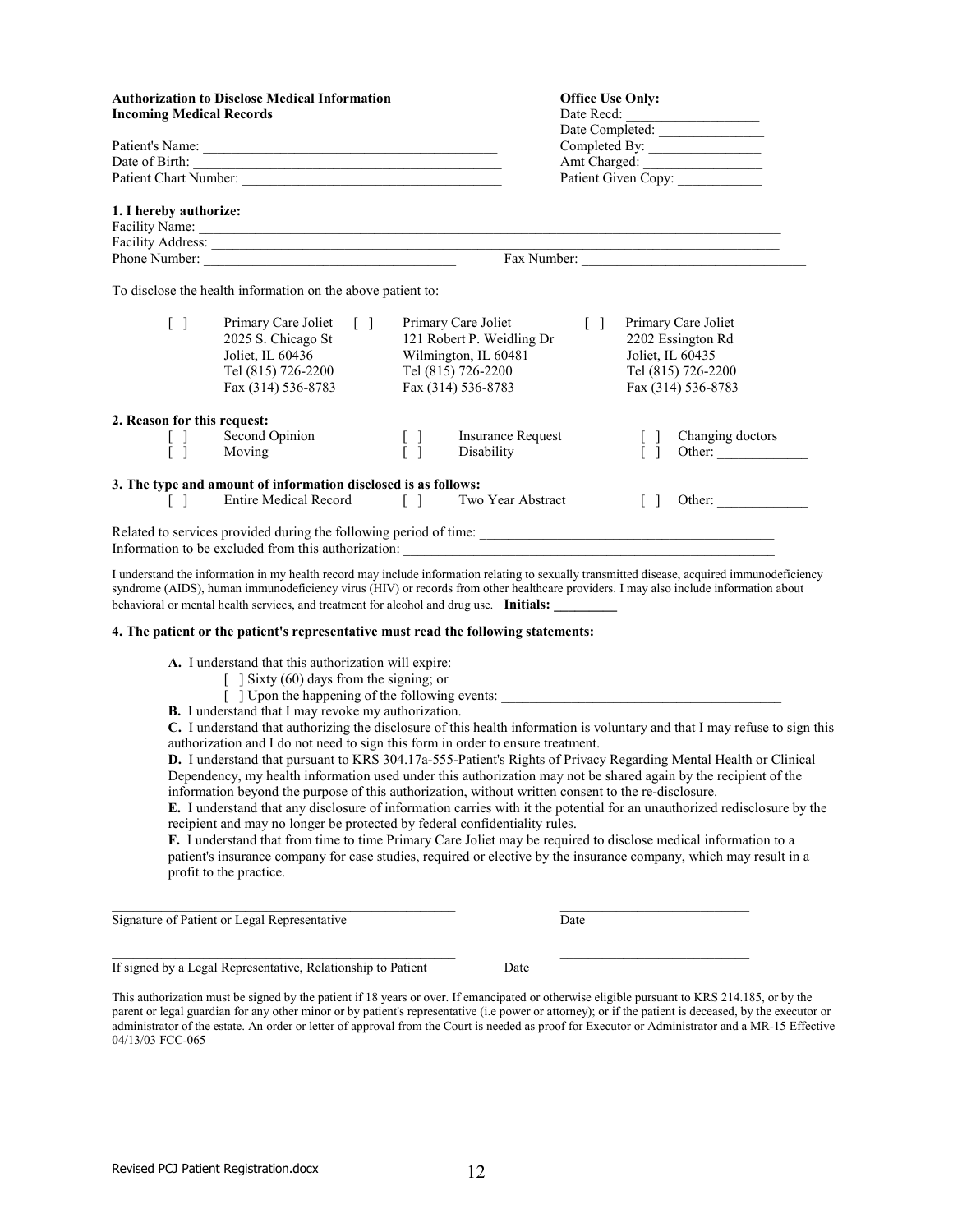|                                 | <b>Authorization to Disclose Medical Information</b>                                                                                                                                                                                                                                                                                                                                                                                                                                                                                                                                        |                                 |                                                                                                                      |                                   | <b>Office Use Only:</b>         |                                                                                      |  |
|---------------------------------|---------------------------------------------------------------------------------------------------------------------------------------------------------------------------------------------------------------------------------------------------------------------------------------------------------------------------------------------------------------------------------------------------------------------------------------------------------------------------------------------------------------------------------------------------------------------------------------------|---------------------------------|----------------------------------------------------------------------------------------------------------------------|-----------------------------------|---------------------------------|--------------------------------------------------------------------------------------|--|
| <b>Incoming Medical Records</b> |                                                                                                                                                                                                                                                                                                                                                                                                                                                                                                                                                                                             | Date Recd:                      |                                                                                                                      |                                   |                                 |                                                                                      |  |
|                                 |                                                                                                                                                                                                                                                                                                                                                                                                                                                                                                                                                                                             |                                 |                                                                                                                      | Date Completed:                   |                                 |                                                                                      |  |
| Patient's Name:                 |                                                                                                                                                                                                                                                                                                                                                                                                                                                                                                                                                                                             |                                 |                                                                                                                      |                                   |                                 |                                                                                      |  |
|                                 |                                                                                                                                                                                                                                                                                                                                                                                                                                                                                                                                                                                             |                                 |                                                                                                                      |                                   |                                 |                                                                                      |  |
| Patient Chart Number:           |                                                                                                                                                                                                                                                                                                                                                                                                                                                                                                                                                                                             |                                 |                                                                                                                      |                                   |                                 |                                                                                      |  |
| 1. I hereby authorize:          |                                                                                                                                                                                                                                                                                                                                                                                                                                                                                                                                                                                             |                                 |                                                                                                                      |                                   |                                 |                                                                                      |  |
|                                 |                                                                                                                                                                                                                                                                                                                                                                                                                                                                                                                                                                                             |                                 |                                                                                                                      |                                   |                                 |                                                                                      |  |
|                                 | Facility Address:<br><u> 1989 - Johann Stein, fransk politiker (d. 1989)</u><br>Fax Number:<br>Phone Number:                                                                                                                                                                                                                                                                                                                                                                                                                                                                                |                                 |                                                                                                                      |                                   |                                 |                                                                                      |  |
|                                 | To disclose the health information on the above patient to:                                                                                                                                                                                                                                                                                                                                                                                                                                                                                                                                 |                                 |                                                                                                                      |                                   |                                 |                                                                                      |  |
| $[\ ]$                          | Primary Care Joliet<br>$\begin{bmatrix} 1 \end{bmatrix}$<br>2025 S. Chicago St<br>Joliet, IL 60436<br>Tel (815) 726-2200<br>Fax (314) 536-8783                                                                                                                                                                                                                                                                                                                                                                                                                                              |                                 | Primary Care Joliet<br>121 Robert P. Weidling Dr<br>Wilmington, IL 60481<br>Tel (815) 726-2200<br>Fax (314) 536-8783 | $\begin{bmatrix} 1 \end{bmatrix}$ | Joliet, IL 60435                | Primary Care Joliet<br>2202 Essington Rd<br>Tel (815) 726-2200<br>Fax (314) 536-8783 |  |
| 2. Reason for this request:     |                                                                                                                                                                                                                                                                                                                                                                                                                                                                                                                                                                                             |                                 |                                                                                                                      |                                   |                                 |                                                                                      |  |
| $\Box$<br>$\lceil \cdot \rceil$ | Second Opinion<br>Moving                                                                                                                                                                                                                                                                                                                                                                                                                                                                                                                                                                    | $[\ ]$<br>$\lceil \cdot \rceil$ | <b>Insurance Request</b><br>Disability                                                                               |                                   | $\Box$<br>$\lceil \cdot \rceil$ | Changing doctors<br>Other:                                                           |  |
|                                 |                                                                                                                                                                                                                                                                                                                                                                                                                                                                                                                                                                                             |                                 |                                                                                                                      |                                   |                                 |                                                                                      |  |
| $[\ ]$                          | 3. The type and amount of information disclosed is as follows:<br>Entire Medical Record []                                                                                                                                                                                                                                                                                                                                                                                                                                                                                                  |                                 | Two Year Abstract                                                                                                    |                                   | $\Box$                          | Other:                                                                               |  |
|                                 | Information to be excluded from this authorization:                                                                                                                                                                                                                                                                                                                                                                                                                                                                                                                                         |                                 |                                                                                                                      |                                   |                                 |                                                                                      |  |
|                                 | I understand the information in my health record may include information relating to sexually transmitted disease, acquired immunodeficiency<br>syndrome (AIDS), human immunodeficiency virus (HIV) or records from other healthcare providers. I may also include information about<br>behavioral or mental health services, and treatment for alcohol and drug use. Initials:                                                                                                                                                                                                             |                                 |                                                                                                                      |                                   |                                 |                                                                                      |  |
|                                 | 4. The patient or the patient's representative must read the following statements:                                                                                                                                                                                                                                                                                                                                                                                                                                                                                                          |                                 |                                                                                                                      |                                   |                                 |                                                                                      |  |
|                                 | A. I understand that this authorization will expire:<br>$\lceil$ Sixty (60) days from the signing; or<br>[ ] Upon the happening of the following events: ________________________________<br><b>B.</b> I understand that I may revoke my authorization.<br>C. I understand that authorizing the disclosure of this health information is voluntary and that I may refuse to sign this<br>authorization and I do not need to sign this form in order to ensure treatment.<br>D. Lunderstand that pursuant to KDS 304 170 555 Datient's Pickts of Driveou Degarding Mental Health or Clinical |                                 |                                                                                                                      |                                   |                                 |                                                                                      |  |

**D.** I understand that pursuant to KRS 304.17a-555-Patient's Rights of Privacy Regarding Mental Health or Clinical Dependency, my health information used under this authorization may not be shared again by the recipient of the information beyond the purpose of this authorization, without written consent to the re-disclosure.

**E.** I understand that any disclosure of information carries with it the potential for an unauthorized redisclosure by the recipient and may no longer be protected by federal confidentiality rules.

**F.** I understand that from time to time Primary Care Joliet may be required to disclose medical information to a patient's insurance company for case studies, required or elective by the insurance company, which may result in a profit to the practice.

 $\mathcal{L}_\text{max} = \frac{1}{2} \sum_{i=1}^{n} \frac{1}{2} \sum_{i=1}^{n} \frac{1}{2} \sum_{i=1}^{n} \frac{1}{2} \sum_{i=1}^{n} \frac{1}{2} \sum_{i=1}^{n} \frac{1}{2} \sum_{i=1}^{n} \frac{1}{2} \sum_{i=1}^{n} \frac{1}{2} \sum_{i=1}^{n} \frac{1}{2} \sum_{i=1}^{n} \frac{1}{2} \sum_{i=1}^{n} \frac{1}{2} \sum_{i=1}^{n} \frac{1}{2} \sum_{i=1}^{n} \frac{1$ Signature of Patient or Legal Representative Date

 $\mathcal{L}_\text{max} = \frac{1}{2} \sum_{i=1}^{n} \frac{1}{2} \sum_{i=1}^{n} \frac{1}{2} \sum_{i=1}^{n} \frac{1}{2} \sum_{i=1}^{n} \frac{1}{2} \sum_{i=1}^{n} \frac{1}{2} \sum_{i=1}^{n} \frac{1}{2} \sum_{i=1}^{n} \frac{1}{2} \sum_{i=1}^{n} \frac{1}{2} \sum_{i=1}^{n} \frac{1}{2} \sum_{i=1}^{n} \frac{1}{2} \sum_{i=1}^{n} \frac{1}{2} \sum_{i=1}^{n} \frac{1$ If signed by a Legal Representative, Relationship to Patient Date

This authorization must be signed by the patient if 18 years or over. If emancipated or otherwise eligible pursuant to KRS 214.185, or by the parent or legal guardian for any other minor or by patient's representative (i.e power or attorney); or if the patient is deceased, by the executor or administrator of the estate. An order or letter of approval from the Court is needed as proof for Executor or Administrator and a MR-15 Effective 04/13/03 FCC-065